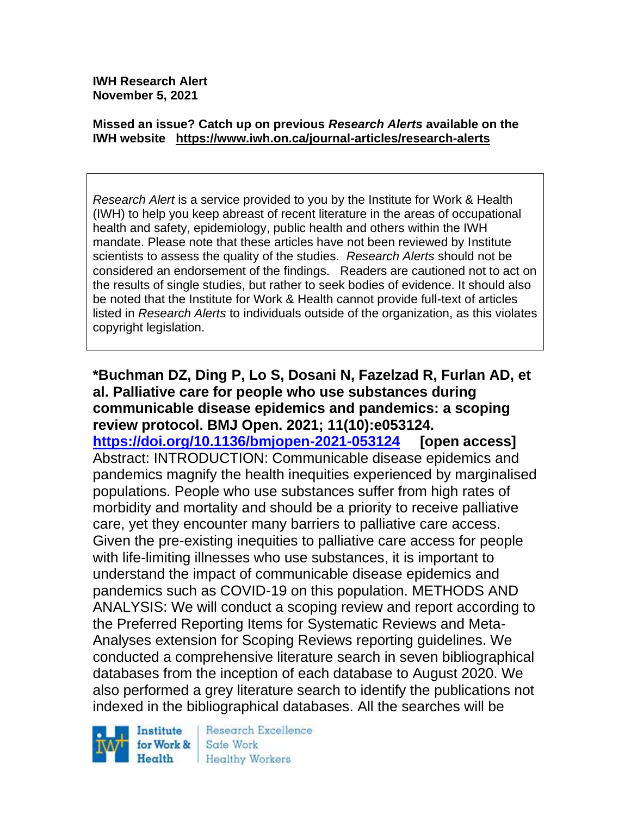**IWH Research Alert November 5, 2021**

#### **Missed an issue? Catch up on previous** *Research Alerts* **available on the [IWH website](http://www.iwh.on.ca/research-alerts) <https://www.iwh.on.ca/journal-articles/research-alerts>**

*Research Alert* is a service provided to you by the Institute for Work & Health (IWH) to help you keep abreast of recent literature in the areas of occupational health and safety, epidemiology, public health and others within the IWH mandate. Please note that these articles have not been reviewed by Institute scientists to assess the quality of the studies. *Research Alerts* should not be considered an endorsement of the findings. Readers are cautioned not to act on the results of single studies, but rather to seek bodies of evidence. It should also be noted that the Institute for Work & Health cannot provide full-text of articles listed in *Research Alerts* to individuals outside of the organization, as this violates copyright legislation.

**\*Buchman DZ, Ding P, Lo S, Dosani N, Fazelzad R, Furlan AD, et al. Palliative care for people who use substances during communicable disease epidemics and pandemics: a scoping review protocol. BMJ Open. 2021; 11(10):e053124. <https://doi.org/10.1136/bmjopen-2021-053124> [open access]** Abstract: INTRODUCTION: Communicable disease epidemics and pandemics magnify the health inequities experienced by marginalised populations. People who use substances suffer from high rates of morbidity and mortality and should be a priority to receive palliative care, yet they encounter many barriers to palliative care access. Given the pre-existing inequities to palliative care access for people with life-limiting illnesses who use substances, it is important to understand the impact of communicable disease epidemics and pandemics such as COVID-19 on this population. METHODS AND ANALYSIS: We will conduct a scoping review and report according to the Preferred Reporting Items for Systematic Reviews and Meta-Analyses extension for Scoping Reviews reporting guidelines. We conducted a comprehensive literature search in seven bibliographical databases from the inception of each database to August 2020. We also performed a grey literature search to identify the publications not indexed in the bibliographical databases. All the searches will be

Institute for Work & Health

Research Excellence Safe Work Healthy Workers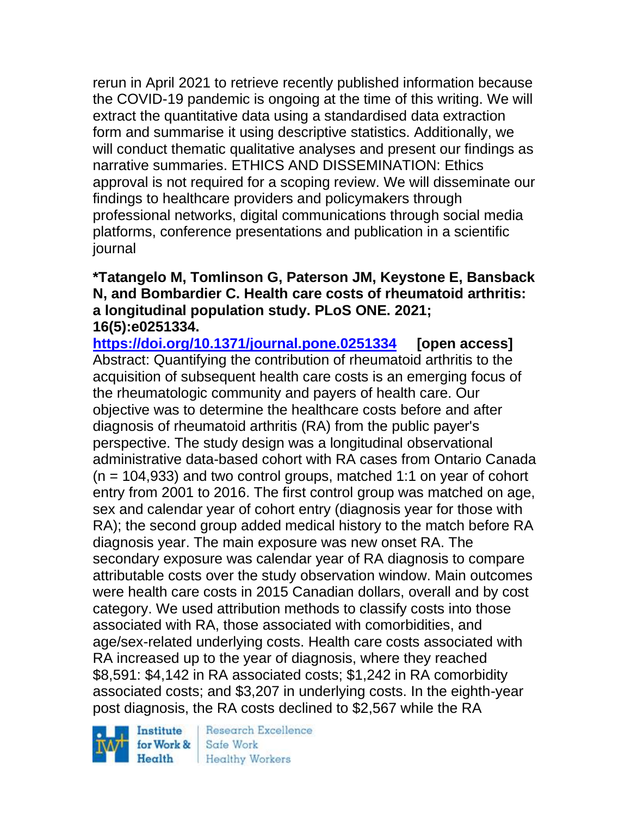rerun in April 2021 to retrieve recently published information because the COVID-19 pandemic is ongoing at the time of this writing. We will extract the quantitative data using a standardised data extraction form and summarise it using descriptive statistics. Additionally, we will conduct thematic qualitative analyses and present our findings as narrative summaries. ETHICS AND DISSEMINATION: Ethics approval is not required for a scoping review. We will disseminate our findings to healthcare providers and policymakers through professional networks, digital communications through social media platforms, conference presentations and publication in a scientific journal

### **\*Tatangelo M, Tomlinson G, Paterson JM, Keystone E, Bansback N, and Bombardier C. Health care costs of rheumatoid arthritis: a longitudinal population study. PLoS ONE. 2021; 16(5):e0251334.**

**<https://doi.org/10.1371/journal.pone.0251334> [open access]** Abstract: Quantifying the contribution of rheumatoid arthritis to the acquisition of subsequent health care costs is an emerging focus of the rheumatologic community and payers of health care. Our objective was to determine the healthcare costs before and after diagnosis of rheumatoid arthritis (RA) from the public payer's perspective. The study design was a longitudinal observational administrative data-based cohort with RA cases from Ontario Canada  $(n = 104.933)$  and two control groups, matched 1:1 on year of cohort entry from 2001 to 2016. The first control group was matched on age, sex and calendar year of cohort entry (diagnosis year for those with RA); the second group added medical history to the match before RA diagnosis year. The main exposure was new onset RA. The secondary exposure was calendar year of RA diagnosis to compare attributable costs over the study observation window. Main outcomes were health care costs in 2015 Canadian dollars, overall and by cost category. We used attribution methods to classify costs into those associated with RA, those associated with comorbidities, and age/sex-related underlying costs. Health care costs associated with RA increased up to the year of diagnosis, where they reached \$8,591: \$4,142 in RA associated costs; \$1,242 in RA comorbidity associated costs; and \$3,207 in underlying costs. In the eighth-year post diagnosis, the RA costs declined to \$2,567 while the RA

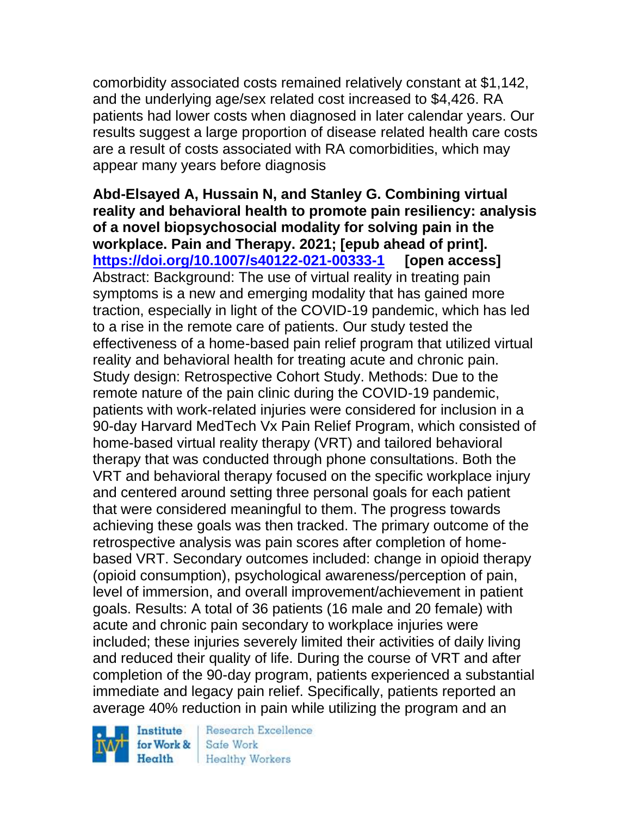comorbidity associated costs remained relatively constant at \$1,142, and the underlying age/sex related cost increased to \$4,426. RA patients had lower costs when diagnosed in later calendar years. Our results suggest a large proportion of disease related health care costs are a result of costs associated with RA comorbidities, which may appear many years before diagnosis

**Abd-Elsayed A, Hussain N, and Stanley G. Combining virtual reality and behavioral health to promote pain resiliency: analysis of a novel biopsychosocial modality for solving pain in the workplace. Pain and Therapy. 2021; [epub ahead of print]. <https://doi.org/10.1007/s40122-021-00333-1> [open access]** Abstract: Background: The use of virtual reality in treating pain symptoms is a new and emerging modality that has gained more traction, especially in light of the COVID-19 pandemic, which has led to a rise in the remote care of patients. Our study tested the effectiveness of a home-based pain relief program that utilized virtual reality and behavioral health for treating acute and chronic pain. Study design: Retrospective Cohort Study. Methods: Due to the remote nature of the pain clinic during the COVID-19 pandemic, patients with work-related injuries were considered for inclusion in a 90-day Harvard MedTech Vx Pain Relief Program, which consisted of home-based virtual reality therapy (VRT) and tailored behavioral therapy that was conducted through phone consultations. Both the VRT and behavioral therapy focused on the specific workplace injury and centered around setting three personal goals for each patient that were considered meaningful to them. The progress towards achieving these goals was then tracked. The primary outcome of the retrospective analysis was pain scores after completion of homebased VRT. Secondary outcomes included: change in opioid therapy (opioid consumption), psychological awareness/perception of pain, level of immersion, and overall improvement/achievement in patient goals. Results: A total of 36 patients (16 male and 20 female) with acute and chronic pain secondary to workplace injuries were included; these injuries severely limited their activities of daily living and reduced their quality of life. During the course of VRT and after completion of the 90-day program, patients experienced a substantial immediate and legacy pain relief. Specifically, patients reported an average 40% reduction in pain while utilizing the program and an

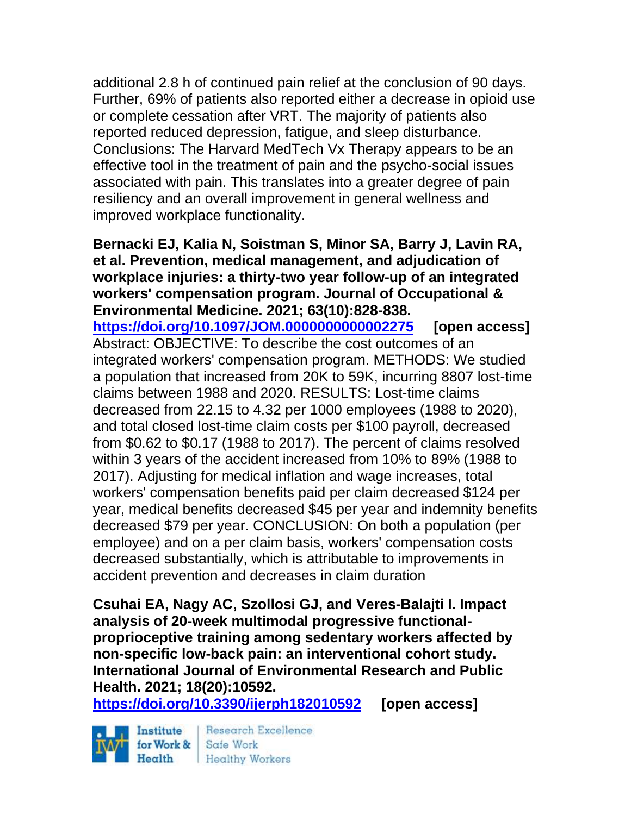additional 2.8 h of continued pain relief at the conclusion of 90 days. Further, 69% of patients also reported either a decrease in opioid use or complete cessation after VRT. The majority of patients also reported reduced depression, fatigue, and sleep disturbance. Conclusions: The Harvard MedTech Vx Therapy appears to be an effective tool in the treatment of pain and the psycho-social issues associated with pain. This translates into a greater degree of pain resiliency and an overall improvement in general wellness and improved workplace functionality.

**Bernacki EJ, Kalia N, Soistman S, Minor SA, Barry J, Lavin RA, et al. Prevention, medical management, and adjudication of workplace injuries: a thirty-two year follow-up of an integrated workers' compensation program. Journal of Occupational & Environmental Medicine. 2021; 63(10):828-838. <https://doi.org/10.1097/JOM.0000000000002275> [open access]** Abstract: OBJECTIVE: To describe the cost outcomes of an integrated workers' compensation program. METHODS: We studied a population that increased from 20K to 59K, incurring 8807 lost-time claims between 1988 and 2020. RESULTS: Lost-time claims decreased from 22.15 to 4.32 per 1000 employees (1988 to 2020), and total closed lost-time claim costs per \$100 payroll, decreased from \$0.62 to \$0.17 (1988 to 2017). The percent of claims resolved within 3 years of the accident increased from 10% to 89% (1988 to 2017). Adjusting for medical inflation and wage increases, total workers' compensation benefits paid per claim decreased \$124 per year, medical benefits decreased \$45 per year and indemnity benefits decreased \$79 per year. CONCLUSION: On both a population (per employee) and on a per claim basis, workers' compensation costs decreased substantially, which is attributable to improvements in accident prevention and decreases in claim duration

**Csuhai EA, Nagy AC, Szollosi GJ, and Veres-Balajti I. Impact analysis of 20-week multimodal progressive functionalproprioceptive training among sedentary workers affected by non-specific low-back pain: an interventional cohort study. International Journal of Environmental Research and Public Health. 2021; 18(20):10592.**

**<https://doi.org/10.3390/ijerph182010592> [open access]**

Institute Health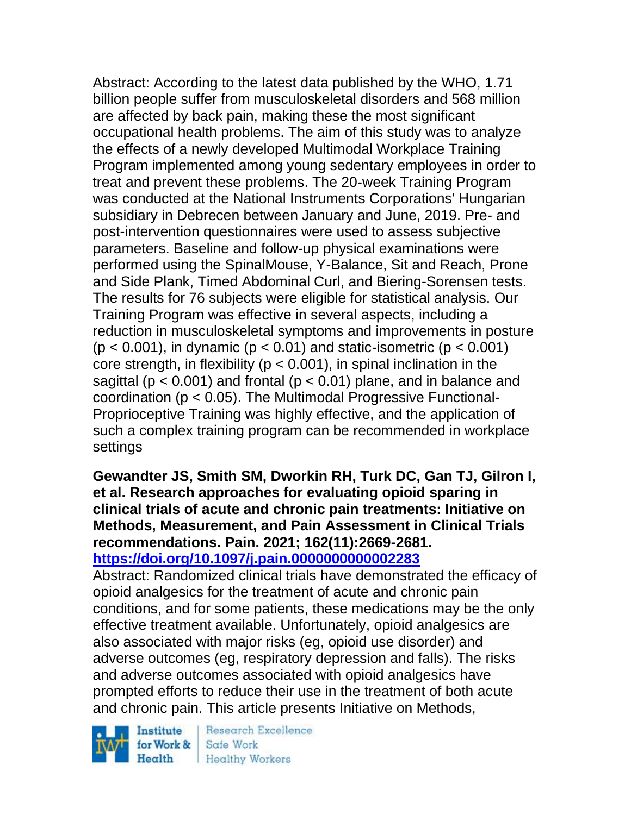Abstract: According to the latest data published by the WHO, 1.71 billion people suffer from musculoskeletal disorders and 568 million are affected by back pain, making these the most significant occupational health problems. The aim of this study was to analyze the effects of a newly developed Multimodal Workplace Training Program implemented among young sedentary employees in order to treat and prevent these problems. The 20-week Training Program was conducted at the National Instruments Corporations' Hungarian subsidiary in Debrecen between January and June, 2019. Pre- and post-intervention questionnaires were used to assess subjective parameters. Baseline and follow-up physical examinations were performed using the SpinalMouse, Y-Balance, Sit and Reach, Prone and Side Plank, Timed Abdominal Curl, and Biering-Sorensen tests. The results for 76 subjects were eligible for statistical analysis. Our Training Program was effective in several aspects, including a reduction in musculoskeletal symptoms and improvements in posture  $(p < 0.001)$ , in dynamic  $(p < 0.01)$  and static-isometric  $(p < 0.001)$ core strength, in flexibility ( $p < 0.001$ ), in spinal inclination in the sagittal ( $p < 0.001$ ) and frontal ( $p < 0.01$ ) plane, and in balance and coordination (p < 0.05). The Multimodal Progressive Functional-Proprioceptive Training was highly effective, and the application of such a complex training program can be recommended in workplace settings

**Gewandter JS, Smith SM, Dworkin RH, Turk DC, Gan TJ, Gilron I, et al. Research approaches for evaluating opioid sparing in clinical trials of acute and chronic pain treatments: Initiative on Methods, Measurement, and Pain Assessment in Clinical Trials recommendations. Pain. 2021; 162(11):2669-2681. <https://doi.org/10.1097/j.pain.0000000000002283>** 

Abstract: Randomized clinical trials have demonstrated the efficacy of opioid analgesics for the treatment of acute and chronic pain conditions, and for some patients, these medications may be the only effective treatment available. Unfortunately, opioid analgesics are also associated with major risks (eg, opioid use disorder) and adverse outcomes (eg, respiratory depression and falls). The risks and adverse outcomes associated with opioid analgesics have prompted efforts to reduce their use in the treatment of both acute and chronic pain. This article presents Initiative on Methods,

Institute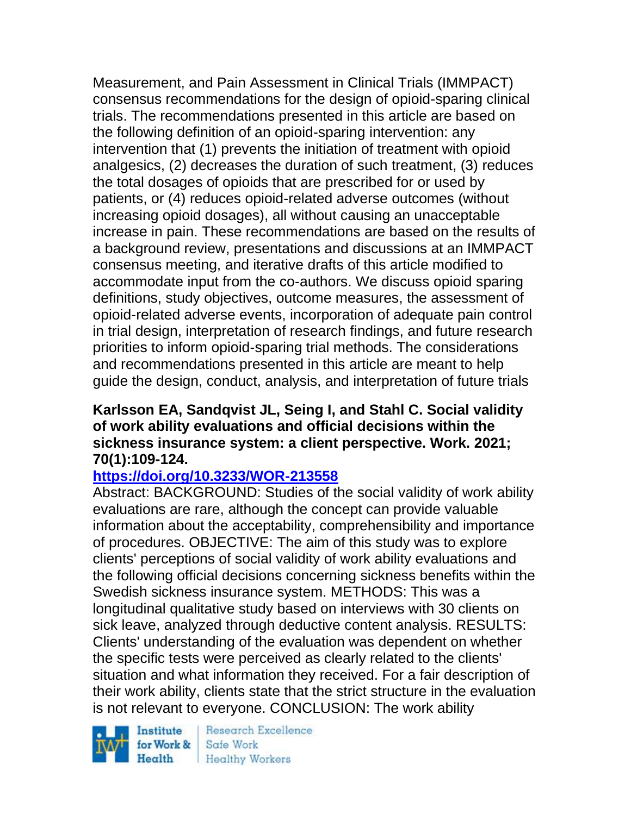Measurement, and Pain Assessment in Clinical Trials (IMMPACT) consensus recommendations for the design of opioid-sparing clinical trials. The recommendations presented in this article are based on the following definition of an opioid-sparing intervention: any intervention that (1) prevents the initiation of treatment with opioid analgesics, (2) decreases the duration of such treatment, (3) reduces the total dosages of opioids that are prescribed for or used by patients, or (4) reduces opioid-related adverse outcomes (without increasing opioid dosages), all without causing an unacceptable increase in pain. These recommendations are based on the results of a background review, presentations and discussions at an IMMPACT consensus meeting, and iterative drafts of this article modified to accommodate input from the co-authors. We discuss opioid sparing definitions, study objectives, outcome measures, the assessment of opioid-related adverse events, incorporation of adequate pain control in trial design, interpretation of research findings, and future research priorities to inform opioid-sparing trial methods. The considerations and recommendations presented in this article are meant to help guide the design, conduct, analysis, and interpretation of future trials

## **Karlsson EA, Sandqvist JL, Seing I, and Stahl C. Social validity of work ability evaluations and official decisions within the sickness insurance system: a client perspective. Work. 2021; 70(1):109-124.**

# **<https://doi.org/10.3233/WOR-213558>**

Abstract: BACKGROUND: Studies of the social validity of work ability evaluations are rare, although the concept can provide valuable information about the acceptability, comprehensibility and importance of procedures. OBJECTIVE: The aim of this study was to explore clients' perceptions of social validity of work ability evaluations and the following official decisions concerning sickness benefits within the Swedish sickness insurance system. METHODS: This was a longitudinal qualitative study based on interviews with 30 clients on sick leave, analyzed through deductive content analysis. RESULTS: Clients' understanding of the evaluation was dependent on whether the specific tests were perceived as clearly related to the clients' situation and what information they received. For a fair description of their work ability, clients state that the strict structure in the evaluation is not relevant to everyone. CONCLUSION: The work ability

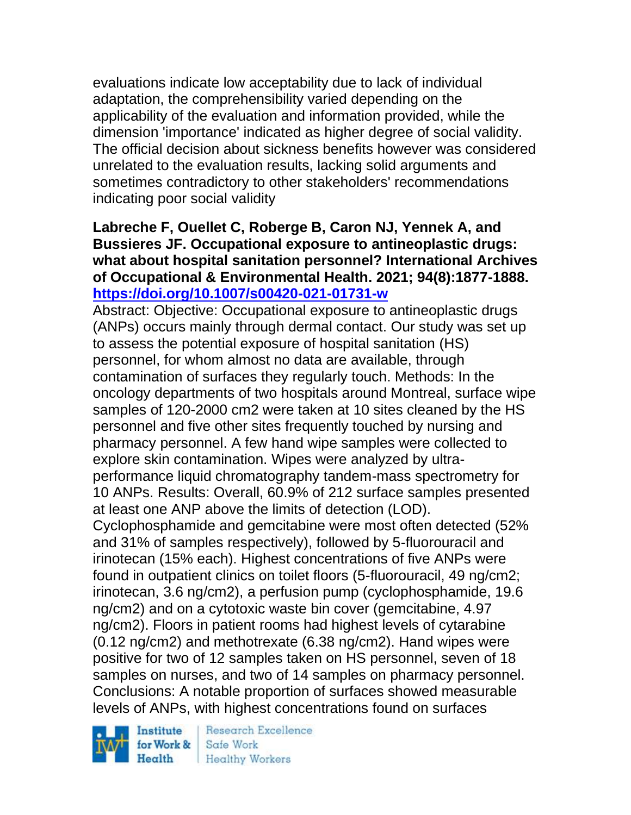evaluations indicate low acceptability due to lack of individual adaptation, the comprehensibility varied depending on the applicability of the evaluation and information provided, while the dimension 'importance' indicated as higher degree of social validity. The official decision about sickness benefits however was considered unrelated to the evaluation results, lacking solid arguments and sometimes contradictory to other stakeholders' recommendations indicating poor social validity

# **Labreche F, Ouellet C, Roberge B, Caron NJ, Yennek A, and Bussieres JF. Occupational exposure to antineoplastic drugs: what about hospital sanitation personnel? International Archives of Occupational & Environmental Health. 2021; 94(8):1877-1888. <https://doi.org/10.1007/s00420-021-01731-w>**

Abstract: Objective: Occupational exposure to antineoplastic drugs (ANPs) occurs mainly through dermal contact. Our study was set up to assess the potential exposure of hospital sanitation (HS) personnel, for whom almost no data are available, through contamination of surfaces they regularly touch. Methods: In the oncology departments of two hospitals around Montreal, surface wipe samples of 120-2000 cm2 were taken at 10 sites cleaned by the HS personnel and five other sites frequently touched by nursing and pharmacy personnel. A few hand wipe samples were collected to explore skin contamination. Wipes were analyzed by ultraperformance liquid chromatography tandem-mass spectrometry for 10 ANPs. Results: Overall, 60.9% of 212 surface samples presented at least one ANP above the limits of detection (LOD). Cyclophosphamide and gemcitabine were most often detected (52% and 31% of samples respectively), followed by 5-fluorouracil and irinotecan (15% each). Highest concentrations of five ANPs were found in outpatient clinics on toilet floors (5-fluorouracil, 49 ng/cm2; irinotecan, 3.6 ng/cm2), a perfusion pump (cyclophosphamide, 19.6 ng/cm2) and on a cytotoxic waste bin cover (gemcitabine, 4.97 ng/cm2). Floors in patient rooms had highest levels of cytarabine (0.12 ng/cm2) and methotrexate (6.38 ng/cm2). Hand wipes were positive for two of 12 samples taken on HS personnel, seven of 18 samples on nurses, and two of 14 samples on pharmacy personnel.

Conclusions: A notable proportion of surfaces showed measurable levels of ANPs, with highest concentrations found on surfaces

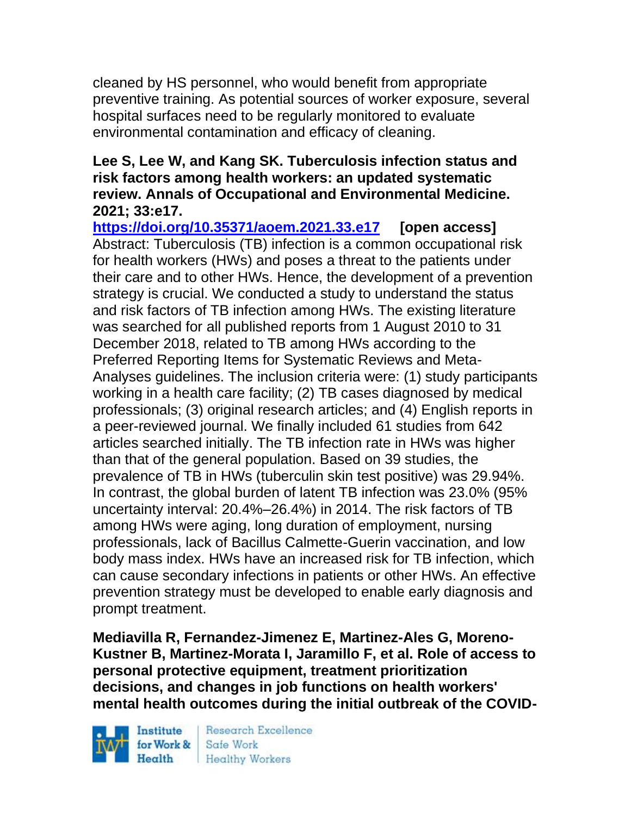cleaned by HS personnel, who would benefit from appropriate preventive training. As potential sources of worker exposure, several hospital surfaces need to be regularly monitored to evaluate environmental contamination and efficacy of cleaning.

# **Lee S, Lee W, and Kang SK. Tuberculosis infection status and risk factors among health workers: an updated systematic review. Annals of Occupational and Environmental Medicine. 2021; 33:e17.**

**<https://doi.org/10.35371/aoem.2021.33.e17> [open access]** Abstract: Tuberculosis (TB) infection is a common occupational risk for health workers (HWs) and poses a threat to the patients under their care and to other HWs. Hence, the development of a prevention strategy is crucial. We conducted a study to understand the status and risk factors of TB infection among HWs. The existing literature was searched for all published reports from 1 August 2010 to 31 December 2018, related to TB among HWs according to the Preferred Reporting Items for Systematic Reviews and Meta-Analyses guidelines. The inclusion criteria were: (1) study participants working in a health care facility; (2) TB cases diagnosed by medical professionals; (3) original research articles; and (4) English reports in a peer-reviewed journal. We finally included 61 studies from 642 articles searched initially. The TB infection rate in HWs was higher than that of the general population. Based on 39 studies, the prevalence of TB in HWs (tuberculin skin test positive) was 29.94%. In contrast, the global burden of latent TB infection was 23.0% (95% uncertainty interval: 20.4%–26.4%) in 2014. The risk factors of TB among HWs were aging, long duration of employment, nursing professionals, lack of Bacillus Calmette-Guerin vaccination, and low body mass index. HWs have an increased risk for TB infection, which can cause secondary infections in patients or other HWs. An effective prevention strategy must be developed to enable early diagnosis and prompt treatment.

**Mediavilla R, Fernandez-Jimenez E, Martinez-Ales G, Moreno-Kustner B, Martinez-Morata I, Jaramillo F, et al. Role of access to personal protective equipment, treatment prioritization decisions, and changes in job functions on health workers' mental health outcomes during the initial outbreak of the COVID-**

Institute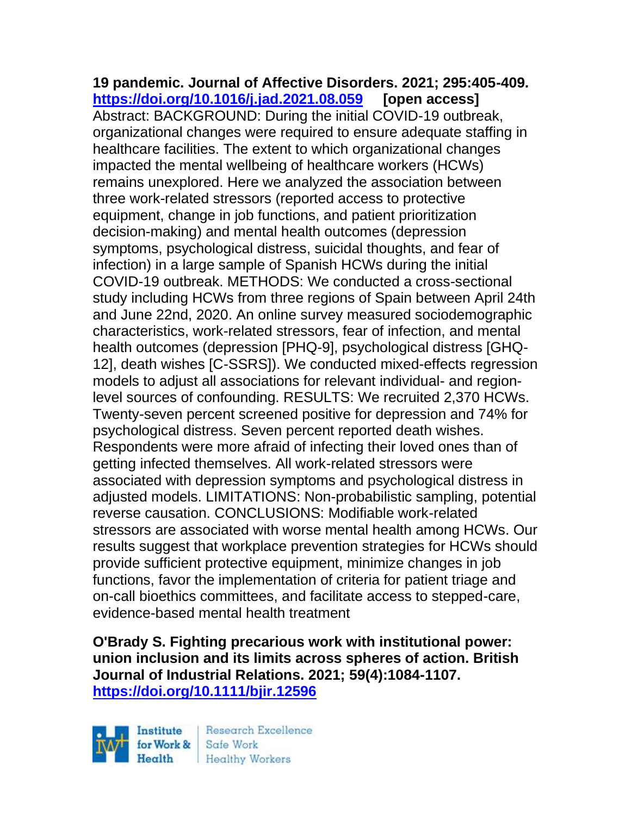**19 pandemic. Journal of Affective Disorders. 2021; 295:405-409. <https://doi.org/10.1016/j.jad.2021.08.059> [open access]** Abstract: BACKGROUND: During the initial COVID-19 outbreak, organizational changes were required to ensure adequate staffing in healthcare facilities. The extent to which organizational changes impacted the mental wellbeing of healthcare workers (HCWs) remains unexplored. Here we analyzed the association between three work-related stressors (reported access to protective equipment, change in job functions, and patient prioritization decision-making) and mental health outcomes (depression symptoms, psychological distress, suicidal thoughts, and fear of infection) in a large sample of Spanish HCWs during the initial COVID-19 outbreak. METHODS: We conducted a cross-sectional study including HCWs from three regions of Spain between April 24th and June 22nd, 2020. An online survey measured sociodemographic characteristics, work-related stressors, fear of infection, and mental health outcomes (depression [PHQ-9], psychological distress [GHQ-12], death wishes [C-SSRS]). We conducted mixed-effects regression models to adjust all associations for relevant individual- and regionlevel sources of confounding. RESULTS: We recruited 2,370 HCWs. Twenty-seven percent screened positive for depression and 74% for psychological distress. Seven percent reported death wishes. Respondents were more afraid of infecting their loved ones than of getting infected themselves. All work-related stressors were associated with depression symptoms and psychological distress in adjusted models. LIMITATIONS: Non-probabilistic sampling, potential reverse causation. CONCLUSIONS: Modifiable work-related stressors are associated with worse mental health among HCWs. Our results suggest that workplace prevention strategies for HCWs should provide sufficient protective equipment, minimize changes in job functions, favor the implementation of criteria for patient triage and on-call bioethics committees, and facilitate access to stepped-care, evidence-based mental health treatment

**O'Brady S. Fighting precarious work with institutional power: union inclusion and its limits across spheres of action. British Journal of Industrial Relations. 2021; 59(4):1084-1107. <https://doi.org/10.1111/bjir.12596>** 



Research Excellence **Healthy Workers**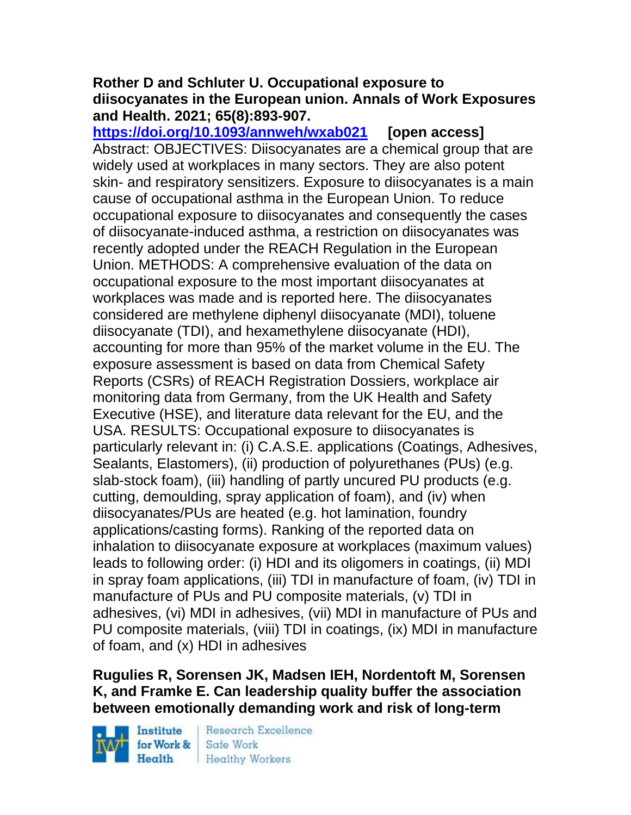## **Rother D and Schluter U. Occupational exposure to diisocyanates in the European union. Annals of Work Exposures and Health. 2021; 65(8):893-907.**

**<https://doi.org/10.1093/annweh/wxab021> [open access]** Abstract: OBJECTIVES: Diisocyanates are a chemical group that are widely used at workplaces in many sectors. They are also potent skin- and respiratory sensitizers. Exposure to diisocyanates is a main cause of occupational asthma in the European Union. To reduce occupational exposure to diisocyanates and consequently the cases of diisocyanate-induced asthma, a restriction on diisocyanates was recently adopted under the REACH Regulation in the European Union. METHODS: A comprehensive evaluation of the data on occupational exposure to the most important diisocyanates at workplaces was made and is reported here. The diisocyanates considered are methylene diphenyl diisocyanate (MDI), toluene diisocyanate (TDI), and hexamethylene diisocyanate (HDI), accounting for more than 95% of the market volume in the EU. The exposure assessment is based on data from Chemical Safety Reports (CSRs) of REACH Registration Dossiers, workplace air monitoring data from Germany, from the UK Health and Safety Executive (HSE), and literature data relevant for the EU, and the USA. RESULTS: Occupational exposure to diisocyanates is particularly relevant in: (i) C.A.S.E. applications (Coatings, Adhesives, Sealants, Elastomers), (ii) production of polyurethanes (PUs) (e.g. slab-stock foam), (iii) handling of partly uncured PU products (e.g. cutting, demoulding, spray application of foam), and (iv) when diisocyanates/PUs are heated (e.g. hot lamination, foundry applications/casting forms). Ranking of the reported data on inhalation to diisocyanate exposure at workplaces (maximum values) leads to following order: (i) HDI and its oligomers in coatings, (ii) MDI in spray foam applications, (iii) TDI in manufacture of foam, (iv) TDI in manufacture of PUs and PU composite materials, (v) TDI in adhesives, (vi) MDI in adhesives, (vii) MDI in manufacture of PUs and PU composite materials, (viii) TDI in coatings, (ix) MDI in manufacture of foam, and (x) HDI in adhesives

# **Rugulies R, Sorensen JK, Madsen IEH, Nordentoft M, Sorensen K, and Framke E. Can leadership quality buffer the association between emotionally demanding work and risk of long-term**

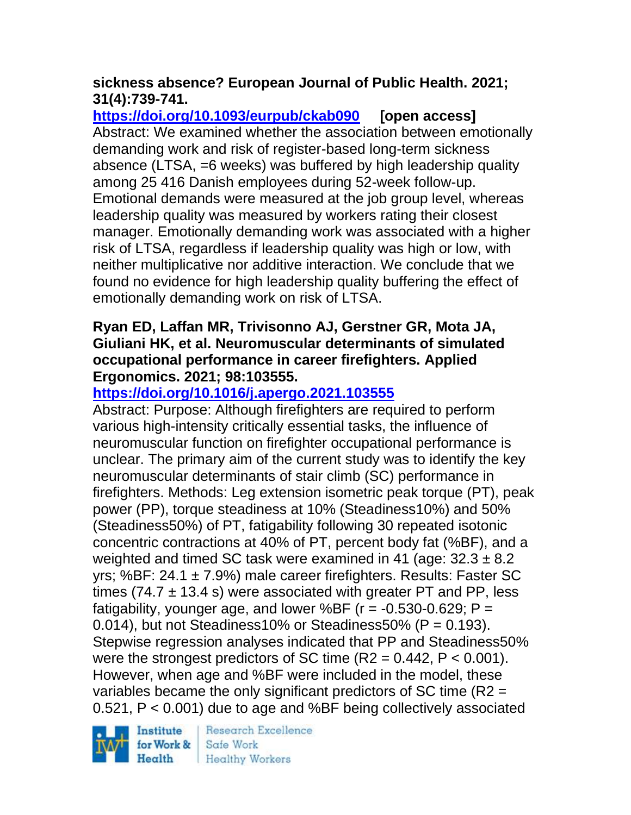# **sickness absence? European Journal of Public Health. 2021; 31(4):739-741.**

**<https://doi.org/10.1093/eurpub/ckab090> [open access]** Abstract: We examined whether the association between emotionally demanding work and risk of register-based long-term sickness absence (LTSA, =6 weeks) was buffered by high leadership quality among 25 416 Danish employees during 52-week follow-up. Emotional demands were measured at the job group level, whereas leadership quality was measured by workers rating their closest manager. Emotionally demanding work was associated with a higher risk of LTSA, regardless if leadership quality was high or low, with neither multiplicative nor additive interaction. We conclude that we found no evidence for high leadership quality buffering the effect of emotionally demanding work on risk of LTSA.

# **Ryan ED, Laffan MR, Trivisonno AJ, Gerstner GR, Mota JA, Giuliani HK, et al. Neuromuscular determinants of simulated occupational performance in career firefighters. Applied Ergonomics. 2021; 98:103555.**

# **<https://doi.org/10.1016/j.apergo.2021.103555>**

Abstract: Purpose: Although firefighters are required to perform various high-intensity critically essential tasks, the influence of neuromuscular function on firefighter occupational performance is unclear. The primary aim of the current study was to identify the key neuromuscular determinants of stair climb (SC) performance in firefighters. Methods: Leg extension isometric peak torque (PT), peak power (PP), torque steadiness at 10% (Steadiness10%) and 50% (Steadiness50%) of PT, fatigability following 30 repeated isotonic concentric contractions at 40% of PT, percent body fat (%BF), and a weighted and timed SC task were examined in 41 (age:  $32.3 \pm 8.2$ ) yrs; %BF:  $24.1 \pm 7.9$ %) male career firefighters. Results: Faster SC times (74.7  $\pm$  13.4 s) were associated with greater PT and PP, less fatigability, younger age, and lower %BF ( $r = -0.530 - 0.629$ ; P =  $0.014$ ), but not Steadiness10% or Steadiness50% (P = 0.193). Stepwise regression analyses indicated that PP and Steadiness50% were the strongest predictors of SC time  $(R2 = 0.442, P < 0.001)$ . However, when age and %BF were included in the model, these variables became the only significant predictors of SC time (R2 = 0.521, P < 0.001) due to age and %BF being collectively associated